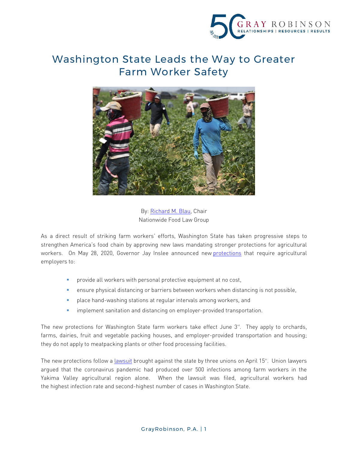

## Washington State Leads the Way to Greater Farm Worker Safety



By[: Richard M. Blau,](http://www.gray-robinson.com/attorneys-professionals/richard-m-blauhttp:/www.gray-robinson.com/attorneys-professionals/richard-m-blau) Chair Nationwide Food Law Group

As a direct result of striking farm workers' efforts, Washington State has taken progressive steps to strengthen America's food chain by approving new laws mandating stronger protections for agricultural workers. On May 28, 2020, Governor Jay Inslee announced new [protections](https://www.governor.wa.gov/sites/default/files/COVID19AgriculturalSafetyPlan.pdf) that require agricultural employers to:

- **Photol** provide all workers with personal protective equipment at no cost,
- ensure physical distancing or barriers between workers when distancing is not possible,
- place hand-washing stations at regular intervals among workers, and
- **F** implement sanitation and distancing on employer-provided transportation.

The new protections for Washington State farm workers take effect June  $3<sup>rd</sup>$ . They apply to orchards, farms, dairies, fruit and vegetable packing houses, and employer-provided transportation and housing; they do not apply to meatpacking plants or other food processing facilities.

The new protections follow a [lawsuit](https://www.documentcloud.org/documents/6867232-2020-04-15-MOT-and-BRIEF-Iso-Declaratory.html) brought against the state by three unions on April 15th . Union lawyers argued that the coronavirus pandemic had produced over 500 infections among farm workers in the Yakima Valley agricultural region alone. When the lawsuit was filed, agricultural workers had the highest infection rate and second-highest number of cases in Washington State.